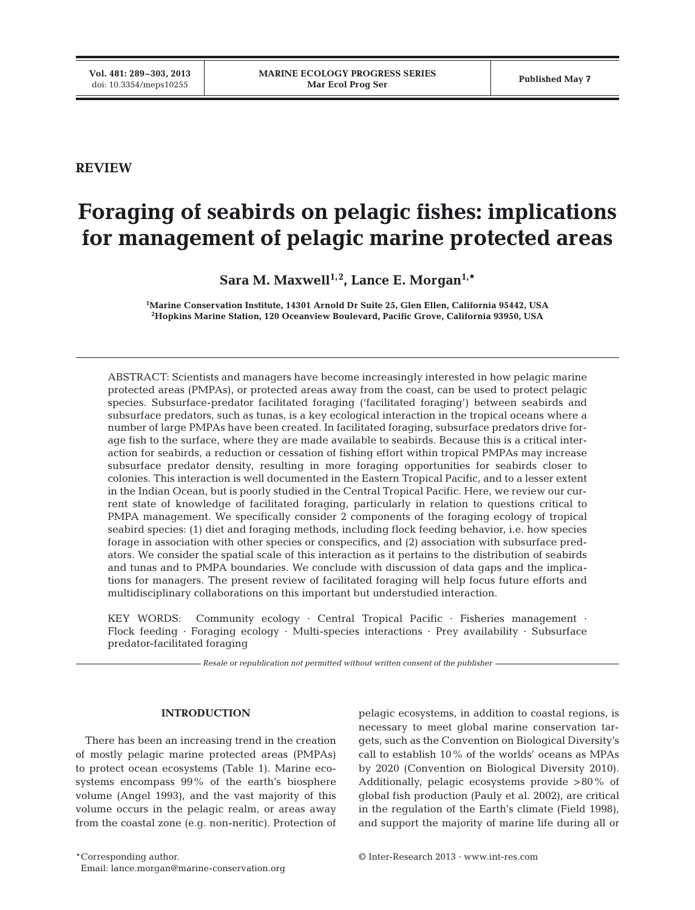# **REVIEW**

# **Foraging of seabirds on pelagic fishes: implications for management of pelagic marine protected areas**

Sara M. Maxwell<sup>1,2</sup>, Lance E. Morgan<sup>1,\*</sup>

**1 Marine Conservation Institute, 14301 Arnold Dr Suite 25, Glen Ellen, California 95442, USA 2 Hopkins Marine Station, 120 Oceanview Boulevard, Pacific Grove, California 93950, USA**

ABSTRACT: Scientists and managers have become increasingly interested in how pelagic marine protected areas (PMPAs), or protected areas away from the coast, can be used to protect pelagic species. Subsurface-predator facilitated foraging ('facilitated foraging') between seabirds and subsurface predators, such as tunas, is a key ecological interaction in the tropical oceans where a number of large PMPAs have been created. In facilitated foraging, subsurface predators drive forage fish to the surface, where they are made available to seabirds. Because this is a critical interaction for seabirds, a reduction or cessation of fishing effort within tropical PMPAs may increase subsurface predator density, resulting in more foraging opportunities for seabirds closer to colonies. This interaction is well documented in the Eastern Tropical Pacific, and to a lesser extent in the Indian Ocean, but is poorly studied in the Central Tropical Pacific. Here, we review our current state of knowledge of facilitated foraging, particularly in relation to questions critical to PMPA management. We specifically consider 2 components of the foraging ecology of tropical seabird species: (1) diet and foraging methods, including flock feeding behavior, i.e. how species forage in association with other species or conspecifics, and (2) association with subsurface predators. We consider the spatial scale of this interaction as it pertains to the distribution of seabirds and tunas and to PMPA boundaries. We conclude with discussion of data gaps and the implications for managers. The present review of facilitated foraging will help focus future efforts and multidisciplinary collaborations on this important but understudied interaction.

KEY WORDS: Community ecology · Central Tropical Pacific · Fisheries management · Flock feeding · Foraging ecology · Multi-species interactions · Prey availability · Subsurface predator-facilitated foraging

*Resale or republication not permitted without written consent of the publisher*

# **INTRODUCTION**

There has been an increasing trend in the creation of mostly pelagic marine protected areas (PMPAs) to protect ocean ecosystems (Table 1). Marine ecosystems encompass 99% of the earth's biosphere volume (Angel 1993), and the vast majority of this volume occurs in the pelagic realm, or areas away from the coastal zone (e.g. non-neritic). Protection of

pelagic ecosystems, in addition to coastal regions, is necessary to meet global marine conservation targets, such as the Convention on Biological Diversity's call to establish 10% of the worlds' oceans as MPAs by 2020 (Convention on Biological Diversity 2010). Additionally, pelagic ecosystems provide >80% of global fish production (Pauly et al. 2002), are critical in the regulation of the Earth's climate (Field 1998), and support the majority of marine life during all or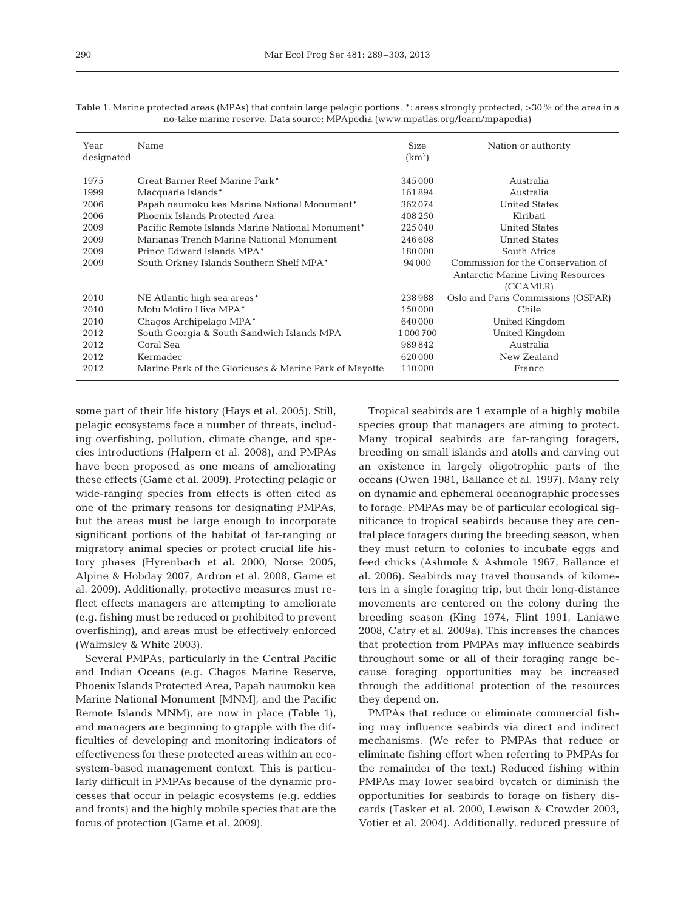Table 1. Marine protected areas (MPAs) that contain large pelagic portions. \*: areas strongly protected, >30% of the area in a no-take marine reserve. Data source: MPApedia (www.mpatlas.org/learn/mpapedia)

| Year<br>designated | Name                                                   | <b>Size</b><br>(km <sup>2</sup> ) | Nation or authority                           |
|--------------------|--------------------------------------------------------|-----------------------------------|-----------------------------------------------|
| 1975               | Great Barrier Reef Marine Park*                        | 345 000                           | Australia                                     |
| 1999               | Macquarie Islands*                                     | 161894                            | Australia                                     |
| 2006               | Papah naumoku kea Marine National Monument*            | 362074                            | <b>United States</b>                          |
| 2006               | Phoenix Islands Protected Area                         | 408250                            | Kiribati                                      |
| 2009               | Pacific Remote Islands Marine National Monument*       | 225 040                           | <b>United States</b>                          |
| 2009               | Marianas Trench Marine National Monument               | 246608                            | <b>United States</b>                          |
| 2009               | Prince Edward Islands MPA*                             | 180000                            | South Africa                                  |
| 2009               | South Orkney Islands Southern Shelf MPA*               | 94 000                            | Commission for the Conservation of            |
|                    |                                                        |                                   | Antarctic Marine Living Resources<br>(CCAMLR) |
| 2010               | NE Atlantic high sea areas*                            | 238988                            | Oslo and Paris Commissions (OSPAR)            |
| 2010               | Motu Motiro Hiva MPA*                                  | 150000                            | Chile                                         |
| 2010               | Chagos Archipelago MPA <sup>*</sup>                    | 640000                            | United Kingdom                                |
| 2012               | South Georgia & South Sandwich Islands MPA             | 1 000 700                         | United Kingdom                                |
| 2012               | Coral Sea                                              | 989842                            | Australia                                     |
| 2012               | <b>Kermadec</b>                                        | 620000                            | New Zealand                                   |
| 2012               | Marine Park of the Glorieuses & Marine Park of Mayotte | 110000                            | France                                        |

some part of their life history (Hays et al. 2005). Still, pelagic ecosystems face a number of threats, including overfishing, pollution, climate change, and species introductions (Halpern et al. 2008), and PMPAs have been proposed as one means of ameliorating these effects (Game et al. 2009). Protecting pelagic or wide-ranging species from effects is often cited as one of the primary reasons for designating PMPAs, but the areas must be large enough to incorporate significant portions of the habitat of far-ranging or migratory animal species or protect crucial life history phases (Hyrenbach et al. 2000, Norse 2005, Alpine & Hobday 2007, Ardron et al. 2008, Game et al. 2009). Additionally, protective measures must re flect effects managers are attempting to ameliorate (e.g. fishing must be reduced or prohibited to prevent overfishing), and areas must be effectively enforced (Walmsley & White 2003).

Several PMPAs, particularly in the Central Pacific and Indian Oceans (e.g. Chagos Marine Reserve, Phoenix Islands Protected Area, Papah naumoku kea Marine National Monument [MNM], and the Pacific Remote Islands MNM), are now in place (Table 1), and managers are beginning to grapple with the difficulties of developing and monitoring indicators of effectiveness for these protected areas within an ecosystem-based management context. This is particularly difficult in PMPAs because of the dynamic processes that occur in pelagic ecosystems (e.g. eddies and fronts) and the highly mobile species that are the focus of protection (Game et al. 2009).

Tropical seabirds are 1 example of a highly mobile species group that managers are aiming to protect. Many tropical seabirds are far-ranging foragers, breeding on small islands and atolls and carving out an existence in largely oligotrophic parts of the oceans (Owen 1981, Ballance et al. 1997). Many rely on dynamic and ephemeral oceanographic processes to forage. PMPAs may be of particular ecological significance to tropical seabirds because they are central place foragers during the breeding season, when they must return to colonies to incubate eggs and feed chicks (Ashmole & Ashmole 1967, Ballance et al. 2006). Seabirds may travel thousands of kilometers in a single foraging trip, but their long-distance movements are centered on the colony during the breeding season (King 1974, Flint 1991, Laniawe 2008, Catry et al. 2009a). This increases the chances that protection from PMPAs may influence seabirds throughout some or all of their foraging range be cause foraging opportunities may be increased through the additional protection of the resources they depend on.

PMPAs that reduce or eliminate commercial fishing may influence seabirds via direct and indirect mechanisms. (We refer to PMPAs that reduce or eliminate fishing effort when referring to PMPAs for the remainder of the text.) Reduced fishing within PMPAs may lower seabird bycatch or diminish the opportunities for seabirds to forage on fishery discards (Tasker et al. 2000, Lewison & Crowder 2003, Votier et al. 2004). Additionally, reduced pressure of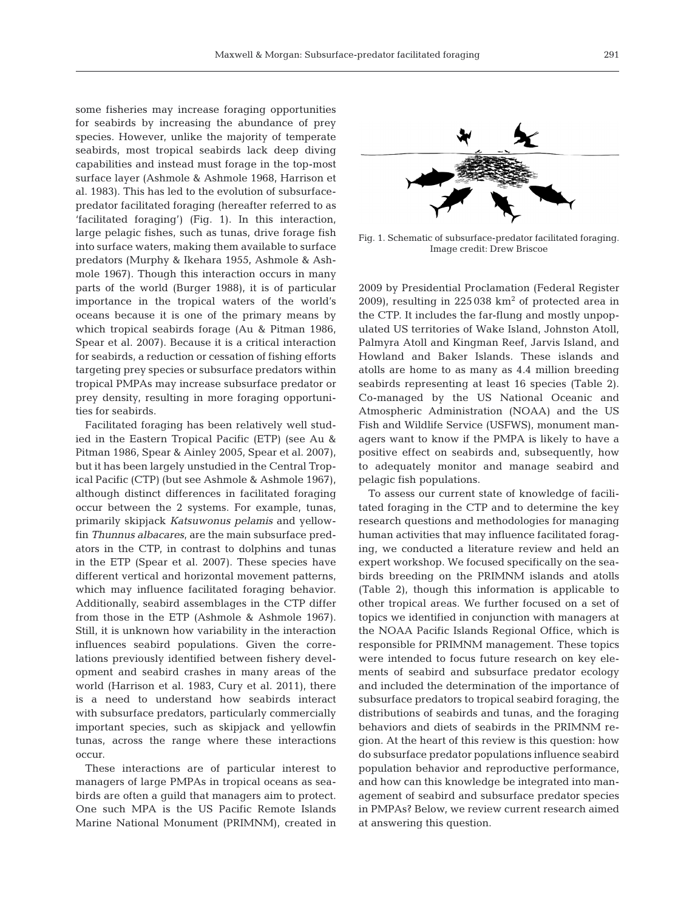some fisheries may increase foraging opportunities for seabirds by increasing the abundance of prey species. However, unlike the majority of temperate seabirds, most tropical seabirds lack deep diving capabilities and instead must forage in the top-most surface layer (Ashmole & Ashmole 1968, Harrison et al. 1983). This has led to the evolution of subsurfacepredator facilitated foraging (hereafter referred to as 'facilitated foraging') (Fig. 1). In this interaction, large pelagic fishes, such as tunas, drive forage fish into surface waters, making them available to surface predators (Murphy & Ikehara 1955, Ashmole & Ashmole 1967). Though this interaction occurs in many parts of the world (Burger 1988), it is of particular importance in the tropical waters of the world's oceans because it is one of the primary means by which tropical seabirds forage (Au & Pitman 1986, Spear et al. 2007). Because it is a critical interaction for seabirds, a reduction or cessation of fishing efforts targeting prey species or subsurface predators within tropical PMPAs may increase subsurface predator or prey density, resulting in more foraging opportunities for seabirds.

Facilitated foraging has been relatively well studied in the Eastern Tropical Pacific (ETP) (see Au & Pitman 1986, Spear & Ainley 2005, Spear et al. 2007), but it has been largely unstudied in the Central Tropical Pacific (CTP) (but see Ashmole & Ashmole 1967), although distinct differences in facilitated foraging occur between the 2 systems. For example, tunas, primarily skipjack *Katsuwonus pelamis* and yellow fin *Thunnus albacares*, are the main subsurface pred ators in the CTP, in contrast to dolphins and tunas in the ETP (Spear et al. 2007). These species have different vertical and horizontal movement patterns, which may influence facilitated foraging behavior. Additionally, seabird assemblages in the CTP differ from those in the ETP (Ashmole & Ashmole 1967). Still, it is unknown how variability in the interaction influences seabird populations. Given the correlations previously identified between fishery development and seabird crashes in many areas of the world (Harrison et al. 1983, Cury et al. 2011), there is a need to understand how seabirds interact with subsurface predators, particularly commercially important species, such as skipjack and yellowfin tunas, across the range where these interactions occur.

These interactions are of particular interest to managers of large PMPAs in tropical oceans as seabirds are often a guild that managers aim to protect. One such MPA is the US Pacific Remote Islands Marine National Monument (PRIMNM), created in



Fig. 1. Schematic of subsurface-predator facilitated foraging. Image credit: Drew Briscoe

2009 by Presidential Proclamation (Federal Register 2009), resulting in  $225038 \text{ km}^2$  of protected area in the CTP. It includes the far-flung and mostly unpopulated US territories of Wake Island, Johnston Atoll, Palmyra Atoll and Kingman Reef, Jarvis Island, and Howland and Baker Islands. These islands and atolls are home to as many as 4.4 million breeding seabirds representing at least 16 species (Table 2). Co-managed by the US National Oceanic and Atmospheric Administration (NOAA) and the US Fish and Wildlife Service (USFWS), monument managers want to know if the PMPA is likely to have a positive effect on seabirds and, subsequently, how to adequately monitor and manage seabird and pelagic fish populations.

To assess our current state of knowledge of facilitated foraging in the CTP and to determine the key research questions and methodologies for managing human activities that may influence facilitated foraging, we conducted a literature review and held an expert workshop. We focused specifically on the seabirds breeding on the PRIMNM islands and atolls (Table 2), though this information is applicable to other tropical areas. We further focused on a set of topics we identified in conjunction with managers at the NOAA Pacific Islands Regional Office, which is responsible for PRIMNM management. These topics were intended to focus future research on key elements of seabird and subsurface predator ecology and included the determination of the importance of subsurface predators to tropical seabird foraging, the distributions of seabirds and tunas, and the foraging behaviors and diets of seabirds in the PRIMNM region. At the heart of this review is this question: how do subsurface predator populations influence seabird population behavior and reproductive performance, and how can this knowledge be integrated into management of seabird and subsurface predator species in PMPAs? Below, we review current research aimed at answering this question.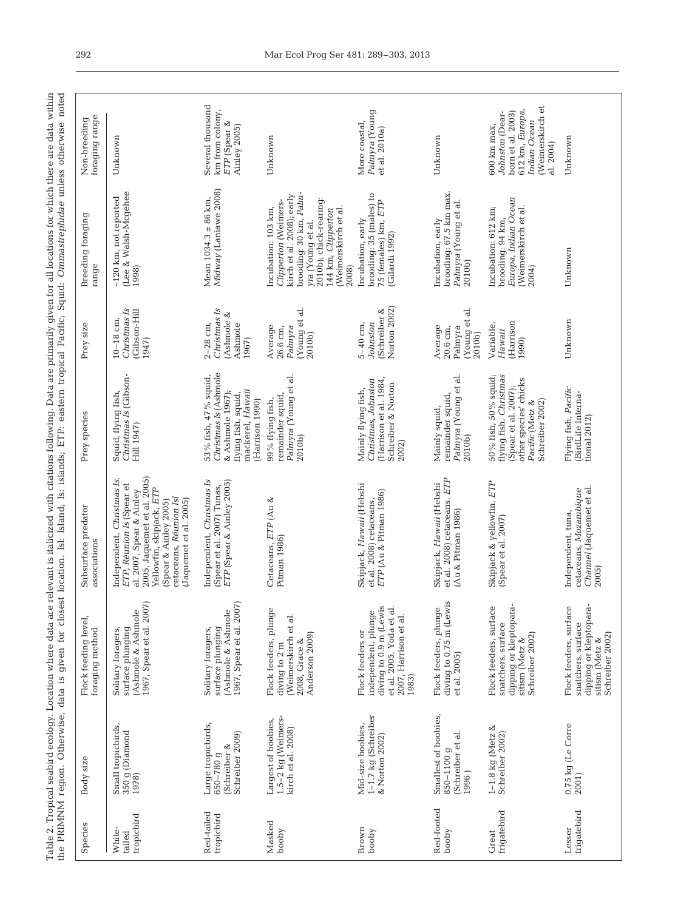Table 2. Tropical seabird ecology. Location where data are relevant is italicized with citations following. Data are primarily given for all locations for which there are data within<br>the PRIMNM region. Otherwise, data is g Table 2. Tropical seabird ecology. Location where data are relevant is italicized with citations following. Data are primarily given for all locations for which there are data within the PRIMNM region. Otherwise, data is given for closest location. Isl: Island; Is: islands; ETP: eastern tropical Pacific; Squid: *Ommastrephidae* unless otherwise noted

| foraging range<br>Non-breeding          | Unknown                                                                                                                                                                                                                    | Several thousand<br>km from colony,<br>ETP (Spear &<br>Ainley 2005)                                                             | Unknown                                                                                                                                                                                                  | Palmyra (Young<br>More coastal,<br>et al. 2010a)                                                                                | Unknown                                                                        | (Weimerskirch et<br>612 km, Europa,<br>born et al. 2003)<br>Johnston (Dear-<br>Indian Ocean<br>$600 \mathrm{km} \mathrm{max}$<br>al. 2004) | Unknown                                                                                                     |
|-----------------------------------------|----------------------------------------------------------------------------------------------------------------------------------------------------------------------------------------------------------------------------|---------------------------------------------------------------------------------------------------------------------------------|----------------------------------------------------------------------------------------------------------------------------------------------------------------------------------------------------------|---------------------------------------------------------------------------------------------------------------------------------|--------------------------------------------------------------------------------|--------------------------------------------------------------------------------------------------------------------------------------------|-------------------------------------------------------------------------------------------------------------|
| <b>Breeding foraging</b><br>range       | (Lee & Walsh-Mcgehee<br>~120 km, not reported<br>1998)                                                                                                                                                                     | Midway (Laniawe 2008)<br>Mean $1034.3 \pm 86$ km,                                                                               | brooding: 30 km, Palm-<br>kirch et al. 2008); early<br>2010b); chick-rearing:<br>Clipperton (Weimers-<br>Incubation: 103 km,<br>(Weimerskirch et al.<br>144 km, Clipperton<br>yra (Young et al.<br>2008) | brooding: 35 (males) to<br>75 (females) km, ETP<br>Incubation, early<br>(Gilardi 1992)                                          | brooding: 67.5 km max,<br>Palmyra (Young et al.<br>Incubation, early<br>2010b) | Europa, Indian Ocean<br>Incubation: 612 km;<br>(Weimerskirch et al.<br>brooding: 94 km,<br>2004)                                           | Unknown                                                                                                     |
| Prey size                               | Christmas Is<br>(Gibson-Hill<br>$10 - 18$ cm,<br>1947)                                                                                                                                                                     | Christmas Is<br>(Ashmole &<br>$2-28$ cm,<br>Ashmole<br>1967)                                                                    | (Young et al.<br>Average<br>Palmyra<br>26.6 cm,<br>2010b)                                                                                                                                                | Norton 2002)<br>(Schreiber &<br>Johnston<br>$5-40$ cm.                                                                          | Young et al.<br>Average<br>20.6 cm,<br>Palmyra<br>2010b)                       | (Harrison<br>Variable,<br>Ha waii<br>1990)                                                                                                 | Unknown                                                                                                     |
| Prey species                            | Christmas Is (Gibson-<br>Squid, flying fish,<br>Hill 1947)                                                                                                                                                                 | Christmas Is (Ashmole<br>53% fish, 47% squid,<br>mackerel, Hawaii<br>& Ashmole 1967);<br>flying fish, squid,<br>(Harrison 1990) | Palmyra (Young et al.<br>remainder squid,<br>99% flying fish,<br>2010b)                                                                                                                                  | Christmas, Johnston<br>(Harrison et al. 1984<br>Schreiber & Norton<br>Mainly flying fish,<br>2002)                              | Palmyra (Young et al.<br>remainder squid,<br>Mainly squid,<br>2010b)           | 50% fish, 50% squid;<br>flying fish, Christmas<br>other species' chicks<br>(Spear et al. 2007);<br>Schreiber 2002)<br>Pacific (Metz &      | Flying fish, Pacific<br>(BirdLife Interna-<br>tional 2012)                                                  |
| Subsurface predator<br>associations     | 2005, Jaquemet et al. 2005)<br>Independent, Christmas Is,<br>ETP, Réunion Is (Spear et<br>Yellowfin, skipjack, ETP<br>al. 2007, Spear & Ainley<br>cetaceans, Réunion Isl<br>Spear & Ainley 2005)<br>(Jaquemet et al. 2005) | Independent, Christmas Is<br>ETP (Spear & Ainley 2005)<br>(Spear et al. 2007) Tunas,                                            | Cetaceans, ETP (Au &<br>Pitman 1986)                                                                                                                                                                     | Skipjack, Hawaii (Hebshi<br>ETP (Au & Pitman 1986)<br>et al. 2008) cetaceans,                                                   | et al. 2008) cetaceans, ETP<br>Skipjack, Hawaii (Hebshi<br>(Au & Pitman 1986)  | Skipjack & yellowfin, ETP<br>(Spear et al. 2007)                                                                                           | Channel (Jaquemet et al<br>cetaceans, Mozambique<br>Independent, tuna,<br>2005)                             |
| Flock feeding level,<br>foraging method | 1967, Spear et al. 2007)<br>(Ashmole & Ashmole<br>surface plunging<br>Solitary foragers,                                                                                                                                   | 1967, Spear et al. 2007)<br>(Ashmole & Ashmole<br>surface plunging<br>Solitary foragers,                                        | Flock feeders, plunge<br>(Weimerskirch et al.<br>Anderson 2009)<br>$2008$ , Grace &<br>diving to 2 m                                                                                                     | diving to 0.9 m (Lewis<br>et al. 2005, Yoda et al.<br>independent, plunge<br>2007, Harrison et al.<br>Flock feeders or<br>1983) | diving to 0.75 m (Lewis<br>Flock feeders, plunge<br>et al. 2005)               | dipping or kleptopara-<br>Flock feeders, surface<br>snatchers, surface<br>Schreiber 2002)<br>sitism (Metz &                                | dipping or kleptopara-<br>Flock feeders, surface<br>snatchers, surface<br>Schreiber 2002)<br>sitism (Metz & |
| Body size                               | Small tropicbirds,<br>350 g (Diamond<br>1978)                                                                                                                                                                              | Large tropicbirds,<br>Schreiber 2009)<br>(Schreiber &<br>650-780 g                                                              | 1.5-2 kg (Weimers-<br>Largest of boobies,<br>kirch et al. 2008)                                                                                                                                          | 1-1.7 kg (Schreiber<br>Mid-size boobies,<br>& Norton 2002)                                                                      | Smallest of boobies,<br>(Schreiber et al.<br>850-1100 g<br>1996)               | 1-1.8 kg (Metz $\&$<br>Schreiber 2002)                                                                                                     | 0.75 kg (Le Corre<br>2001)                                                                                  |
| Species                                 | tropicbird<br>White-<br>tailed                                                                                                                                                                                             | Red-tailed<br>tropicbird                                                                                                        | Masked<br>booby                                                                                                                                                                                          | Brown<br>booby                                                                                                                  | Red-footed<br>booby                                                            | frigatebird<br>Great                                                                                                                       | frigatebird<br>Lesser                                                                                       |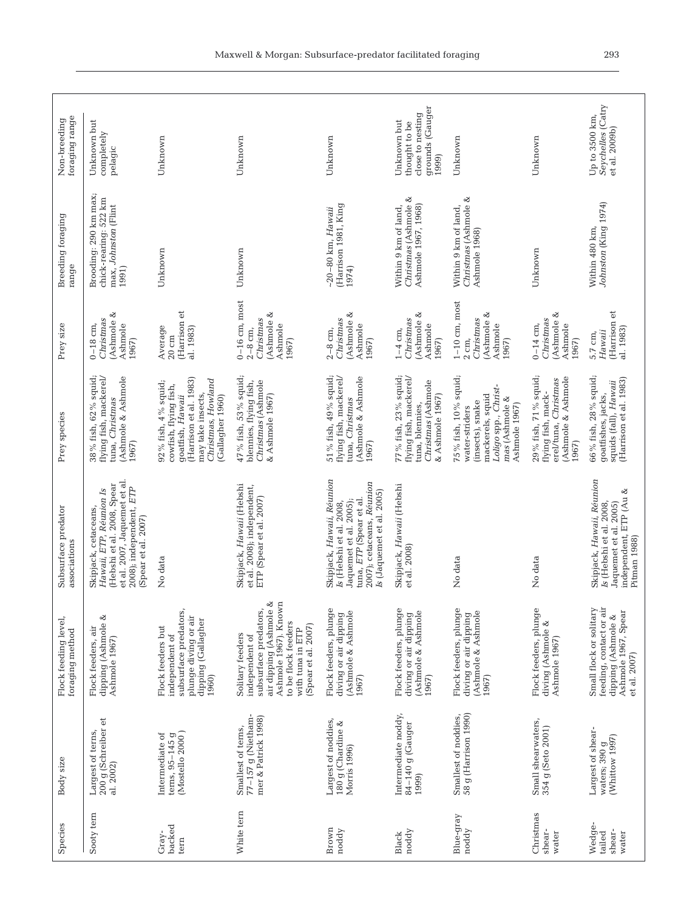| Species                             | Body size                                                       | Flock feeding level,<br>foraging method                                                                                                                                         | Subsurface predator<br>associations                                                                                                                                 | Prey species                                                                                                                                               | Prey size                                                                        | Breeding foraging<br>range                                                      | foraging range<br>Non-breeding                                               |
|-------------------------------------|-----------------------------------------------------------------|---------------------------------------------------------------------------------------------------------------------------------------------------------------------------------|---------------------------------------------------------------------------------------------------------------------------------------------------------------------|------------------------------------------------------------------------------------------------------------------------------------------------------------|----------------------------------------------------------------------------------|---------------------------------------------------------------------------------|------------------------------------------------------------------------------|
| Sooty tern                          | 200 g (Schreiber et<br>Largest of terns,<br>al. 2002)           | dipping (Ashmole &<br>Flock feeders, air<br>Ashmole 1967)                                                                                                                       | et al. 2007, Jaquemet et al.<br>(Hebshi et al. 2008, Spear<br>2008); independent, ETP<br>Hawaii, ETP, Réunion Is<br>Skipjack, cetaceans,<br>(Spear et al. 2007)     | 38 % fish, 62 % squid;<br>flying fish, mackerel/<br>Ashmole & Ashmole<br>tuna, Christmas<br>1967)                                                          | (Ashmole &<br>Christmas<br>Ashmole<br>$0-18$ cm,<br>1967)                        | Brooding: 290 km max;<br>chick-rearing: 522 km<br>max, Johnston (Flint<br>1991) | Unknown but<br>completely<br>pelagic                                         |
| backed<br>Gray-<br>tern             | terns, 95-145 g<br>(Mostello 2000)<br>Intermediate of           | subsurface predators,<br>plunge diving or air<br>dipping (Gallagher<br>Flock feeders but<br>independent of<br>1960)                                                             | No data                                                                                                                                                             | (Harrison et al. 1983)<br>Christmas, Howland<br>92 % fish, 4% squid;<br>cowfish, flying fish,<br>may take insects,<br>(Gallagher 1960)<br>qoatfish, Hawaii | (Harrison et<br>Average<br>al. 1983)<br>$20 \text{ cm}$                          | Unknown                                                                         | Unknown                                                                      |
| White tern                          | 77-157 g (Nietham-<br>mer & Patrick 1998)<br>Smallest of terns, | air dipping (Ashmole &<br>Ashmole 1967). Known<br>subsurface predators,<br>to be flock feeders<br>(Spear et al. 2007)<br>with tuna in ETP<br>Solitary feeders<br>independent of | Skipjack, Hawaii (Hebshi<br>et al. 2008); independent,<br>ETP (Spear et al. 2007)                                                                                   | 47 % fish, 53% squid;<br>Christmas (Ashmole<br>blennies, flying fish,<br>& Ashmole 1967)                                                                   | $0-16$ cm, most<br>(Ashmole &<br>Christmas<br>Ashmole<br>$2-8$ cm,<br>1967)      | Unknown                                                                         | Unknown                                                                      |
| Brown<br>noddy                      | Largest of noddies,<br>180 g (Chardine &<br>Morris 1996)        | Flock feeders, plunge<br>diving or air dipping<br>(Ashmole & Ashmole<br>1967)                                                                                                   | Skipjack, Hawaii, Réunion<br>2007); cetaceans, Réunion<br>Is (Jaquemet et al. 2005)<br>tuna, ETP (Spear et al.<br>Jaquemet et al. 2005);<br>Is (Hebshi et al. 2008, | 51 % fish, 49% squid;<br>flying fish, mackerel/<br>(Ashmole & Ashmole<br>tuna, Christmas<br>1967)                                                          | (Ashmole &<br>Christmas<br>Ashmole<br>$2-8$ cm,<br>1967)                         | (Harrison 1981, King<br>$~10-80$ km, Hawaii<br>1974)                            | Unknown                                                                      |
| noddy<br>Black                      | Intermediate noddy,<br>84-140 g (Gauger<br>1999)                | Flock feeders, plunge<br>diving or air dipping<br>(Ashmole & Ashmole<br>1967)                                                                                                   | Skipjack, Hawaii (Hebshi<br>et al. 2008)                                                                                                                            | 77 % fish, 23 % squid;<br>flying fish, mackerel/<br>Christmas (Ashmole<br>& Ashmole 1967)<br>tuna, blennies,                                               | (Ashmole &<br>Christmas<br>Ashmole<br>$1-4$ cm,<br>1967)                         | ⊗<br>Christmas (Ashmole<br>Ashmole 1967, 1968)<br>Within 9 km of land,          | grounds (Gauger<br>close to nesting<br>Unknown but<br>thought to be<br>1999) |
| Blue-gray<br>noddy                  | 58 g (Harrison 1990)<br>Smallest of noddies,                    | Flock feeders, plunge<br>diving or air dipping<br>(Ashmole & Ashmole<br>1967)                                                                                                   | No data                                                                                                                                                             | 75 % fish, 10 % squid;<br>Loligo spp., Christ-<br>mackerels, squid<br>mas (Ashmole &<br>(insects), snake<br>Ashmole 1967)<br>water-striders                | $1-10$ cm, most<br>(Ashmole &<br>Christnas<br>Ashmole<br>1967)<br>$2 \text{ cm}$ | Christmas (Ashmole &<br>Within 9 km of land,<br>Ashmole 1968)                   | Unknown                                                                      |
| Christmas<br>shear-<br>water        | Small shearwaters,<br>354 g (Seto 2001)                         | Flock feeders, plunge<br>diving (Ashmole &<br>Ashmole 1967)                                                                                                                     | No data                                                                                                                                                             | 29 % fish, 71 % squid;<br>Ashmole & Ashmole<br>erel/tuna, Christmas<br>flying fish, mack-<br>1967)                                                         | Ashmole &<br>Christmas<br>Ashmole<br>$0-14$ cm,<br>1967)                         | Unknown                                                                         | Unknown                                                                      |
| Wedge-<br>shear-<br>tailed<br>water | Largest of shear-<br>waters; 390 g<br>(Whittow 1997)            | feeding, contact or air<br>Small flock or solitary<br>Ashmole 1967, Spear<br>dipping (Ashmole &<br>et al. 2007)                                                                 | Skipjack, Hawaii, Réunion<br>independent, ETP (Au &<br>Is (Hebshi et al. 2008,<br>Jaquemet et al. 2005)<br>Pitman 1988)                                             | 66 % fish, 28 % squid;<br>(Harrison et al. 1983)<br>squids (fall), Hawaii<br>goatfishes, jacks,                                                            | (Harrison et<br>al. 1983)<br>Hawaii<br>$5.7 \text{ cm}$                          | Johnston (King 1974)<br>Within 480 km,                                          | Seychelles (Catry<br>Up to 3500 km,<br>et al. 2009b)                         |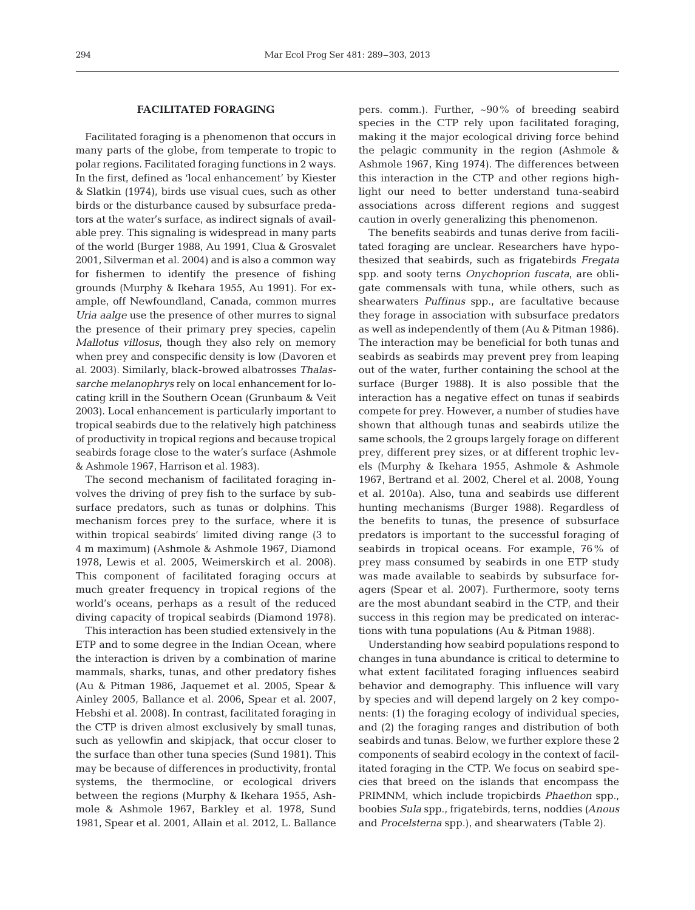# **FACILITATED FORAGING**

Facilitated foraging is a phenomenon that occurs in many parts of the globe, from temperate to tropic to polar regions. Facilitated foraging functions in 2 ways. In the first, defined as 'local enhancement' by Kiester & Slatkin (1974), birds use visual cues, such as other birds or the disturbance caused by subsurface predators at the water's surface, as indirect signals of available prey. This signaling is widespread in many parts of the world (Burger 1988, Au 1991, Clua & Grosvalet 2001, Silverman et al. 2004) and is also a common way for fishermen to identify the presence of fishing grounds (Murphy & Ikehara 1955, Au 1991). For example, off Newfoundland, Canada, common murres *Uria aalge* use the presence of other murres to signal the presence of their primary prey species, capelin *Mallotus villosus*, though they also rely on memory when prey and conspecific density is low (Davoren et al. 2003). Similarly, black-browed albatrosses *Thalassarche melanophrys* rely on local enhancement for locating krill in the Southern Ocean (Grunbaum & Veit 2003). Local enhancement is particularly important to tropical seabirds due to the relatively high patchiness of productivity in tropical regions and because tropical seabirds forage close to the water's surface (Ashmole & Ashmole 1967, Harrison et al. 1983).

The second mechanism of facilitated foraging involves the driving of prey fish to the surface by subsurface predators, such as tunas or dolphins. This mechanism forces prey to the surface, where it is within tropical seabirds' limited diving range (3 to 4 m maximum) (Ashmole & Ashmole 1967, Diamond 1978, Lewis et al. 2005, Weimerskirch et al. 2008). This component of facilitated foraging occurs at much greater frequency in tropical regions of the world's oceans, perhaps as a result of the reduced diving capacity of tropical seabirds (Diamond 1978).

This interaction has been studied extensively in the ETP and to some degree in the Indian Ocean, where the interaction is driven by a combination of marine mammals, sharks, tunas, and other predatory fishes (Au & Pitman 1986, Jaquemet et al. 2005, Spear & Ainley 2005, Ballance et al. 2006, Spear et al. 2007, Hebshi et al. 2008). In contrast, facilitated foraging in the CTP is driven almost exclusively by small tunas, such as yellowfin and skipjack, that occur closer to the surface than other tuna species (Sund 1981). This may be because of differences in productivity, frontal systems, the thermocline, or ecological drivers between the regions (Murphy & Ikehara 1955, Ashmole & Ashmole 1967, Barkley et al. 1978, Sund 1981, Spear et al. 2001, Allain et al. 2012, L. Ballance

pers. comm.). Further, ~90% of breeding seabird species in the CTP rely upon facilitated foraging, making it the major ecological driving force behind the pelagic community in the region (Ashmole & Ashmole 1967, King 1974). The differences between this interaction in the CTP and other regions highlight our need to better understand tuna-seabird associations across different regions and suggest caution in overly generalizing this phenomenon.

The benefits seabirds and tunas derive from facilitated foraging are unclear. Researchers have hypothesized that seabirds, such as frigatebirds *Fregata* spp. and sooty terns *Onychoprion fuscata*, are obligate commensals with tuna, while others, such as shearwaters *Puffinus* spp., are facultative because they forage in association with subsurface predators as well as independently of them (Au & Pitman 1986). The interaction may be beneficial for both tunas and seabirds as seabirds may prevent prey from leaping out of the water, further containing the school at the surface (Burger 1988). It is also possible that the interaction has a negative effect on tunas if seabirds compete for prey. However, a number of studies have shown that although tunas and seabirds utilize the same schools, the 2 groups largely forage on different prey, different prey sizes, or at different trophic levels (Murphy & Ikehara 1955, Ashmole & Ashmole 1967, Bertrand et al. 2002, Cherel et al. 2008, Young et al. 2010a). Also, tuna and seabirds use different hunting mechanisms (Burger 1988). Regardless of the benefits to tunas, the presence of subsurface predators is important to the successful foraging of seabirds in tropical oceans. For example, 76% of prey mass consumed by seabirds in one ETP study was made available to seabirds by subsurface foragers (Spear et al. 2007). Furthermore, sooty terns are the most abundant seabird in the CTP, and their success in this region may be predicated on interactions with tuna populations (Au & Pitman 1988).

Understanding how seabird populations respond to changes in tuna abundance is critical to determine to what extent facilitated foraging influences seabird behavior and demography. This influence will vary by species and will depend largely on 2 key components: (1) the foraging ecology of individual species, and (2) the foraging ranges and distribution of both seabirds and tunas. Below, we further explore these 2 components of seabird ecology in the context of facilitated foraging in the CTP. We focus on seabird species that breed on the islands that encompass the PRIMNM, which include tropicbirds *Phaethon* spp., boobies *Sula* spp., frigatebirds, terns, noddies *(Anous* and *Procelsterna* spp.), and shearwaters (Table 2).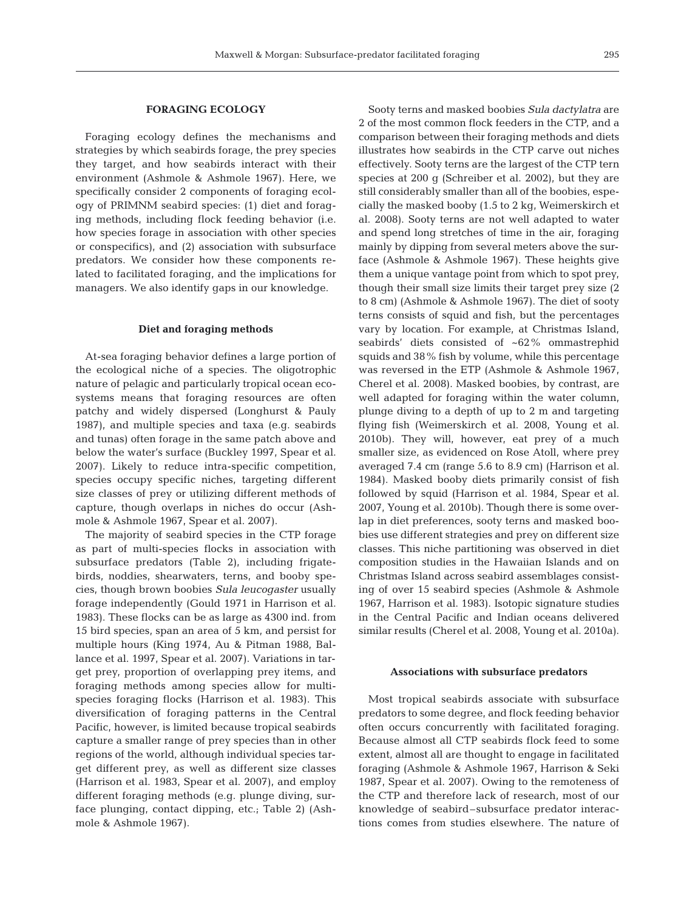# **FORAGING ECOLOGY**

Foraging ecology defines the mechanisms and strategies by which seabirds forage, the prey species they target, and how seabirds interact with their environment (Ashmole & Ashmole 1967). Here, we specifically consider 2 components of foraging ecology of PRIMNM seabird species: (1) diet and foraging methods, including flock feeding behavior (i.e. how species forage in association with other species or conspecifics), and (2) association with subsurface predators. We consider how these components related to facilitated foraging, and the implications for managers. We also identify gaps in our knowledge.

#### **Diet and foraging methods**

At-sea foraging behavior defines a large portion of the ecological niche of a species. The oligotrophic nature of pelagic and particularly tropical ocean ecosystems means that foraging resources are often patchy and widely dispersed (Longhurst & Pauly 1987), and multiple species and taxa (e.g. seabirds and tunas) often forage in the same patch above and below the water's surface (Buckley 1997, Spear et al. 2007). Likely to reduce intra-specific competition, species occupy specific niches, targeting different size classes of prey or utilizing different methods of capture, though overlaps in niches do occur (Ashmole & Ashmole 1967, Spear et al. 2007).

The majority of seabird species in the CTP forage as part of multi-species flocks in association with subsurface predators (Table 2), including frigatebirds, noddies, shearwaters, terns, and booby species, though brown boobies *Sula leucogaster* usually forage independently (Gould 1971 in Harrison et al. 1983). These flocks can be as large as 4300 ind. from 15 bird species, span an area of 5 km, and persist for multiple hours (King 1974, Au & Pitman 1988, Ballance et al. 1997, Spear et al. 2007). Variations in target prey, proportion of overlapping prey items, and foraging methods among species allow for multispecies foraging flocks (Harrison et al. 1983). This diversification of foraging patterns in the Central Pacific, however, is limited because tropical seabirds capture a smaller range of prey species than in other regions of the world, although individual species target different prey, as well as different size classes (Harrison et al. 1983, Spear et al. 2007), and employ different foraging methods (e.g. plunge diving, surface plunging, contact dipping, etc.; Table 2) (Ashmole & Ashmole 1967).

Sooty terns and masked boobies *Sula dactylatra* are 2 of the most common flock feeders in the CTP, and a comparison between their foraging methods and diets illustrates how seabirds in the CTP carve out niches effectively. Sooty terns are the largest of the CTP tern species at 200 g (Schreiber et al. 2002), but they are still considerably smaller than all of the boobies, especially the masked booby (1.5 to 2 kg, Weimerskirch et al. 2008). Sooty terns are not well adapted to water and spend long stretches of time in the air, foraging mainly by dipping from several meters above the surface (Ashmole & Ashmole 1967). These heights give them a unique vantage point from which to spot prey, though their small size limits their target prey size (2 to 8 cm) (Ashmole & Ashmole 1967). The diet of sooty terns consists of squid and fish, but the percentages vary by location. For example, at Christmas Island, seabirds' diets consisted of ~62% ommastrephid squids and 38% fish by volume, while this percentage was reversed in the ETP (Ashmole & Ashmole 1967, Cherel et al. 2008). Masked boobies, by contrast, are well adapted for foraging within the water column, plunge diving to a depth of up to 2 m and targeting flying fish (Weimerskirch et al. 2008, Young et al. 2010b). They will, however, eat prey of a much smaller size, as evidenced on Rose Atoll, where prey averaged 7.4 cm (range 5.6 to 8.9 cm) (Harrison et al. 1984). Masked booby diets primarily consist of fish followed by squid (Harrison et al. 1984, Spear et al. 2007, Young et al. 2010b). Though there is some overlap in diet preferences, sooty terns and masked boobies use different strategies and prey on different size classes. This niche partitioning was observed in diet composition studies in the Hawaiian Islands and on Christmas Island across seabird assemblages consisting of over 15 seabird species (Ashmole & Ashmole 1967, Harrison et al. 1983). Isotopic signature studies in the Central Pacific and Indian oceans delivered similar results (Cherel et al. 2008, Young et al. 2010a).

#### **Associations with subsurface predators**

Most tropical seabirds associate with subsurface predators to some degree, and flock feeding behavior often occurs concurrently with facilitated foraging. Because almost all CTP seabirds flock feed to some extent, almost all are thought to engage in facilitated foraging (Ashmole & Ashmole 1967, Harrison & Seki 1987, Spear et al. 2007). Owing to the remoteness of the CTP and therefore lack of research, most of our knowledge of seabird–subsurface predator interactions comes from studies elsewhere. The nature of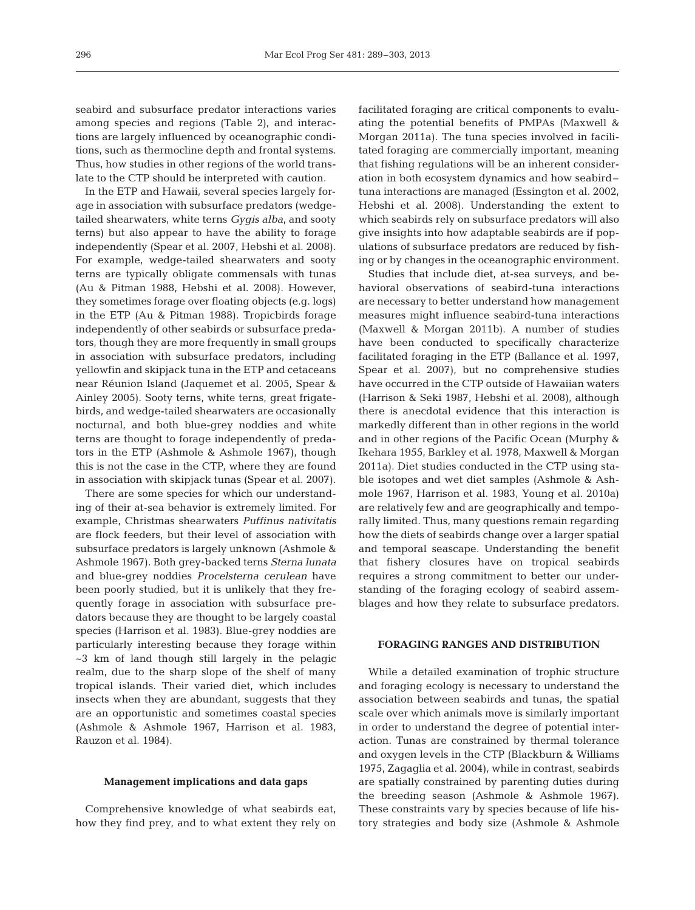seabird and subsurface predator interactions varies among species and regions (Table 2), and interactions are largely influenced by oceanographic conditions, such as thermocline depth and frontal systems. Thus, how studies in other regions of the world translate to the CTP should be interpreted with caution.

In the ETP and Hawaii, several species largely forage in association with subsurface predators (wedgetailed shearwaters, white terns *Gygis alba*, and sooty terns) but also appear to have the ability to forage independently (Spear et al. 2007, Hebshi et al. 2008). For example, wedge-tailed shearwaters and sooty terns are typically obligate commensals with tunas (Au & Pitman 1988, Hebshi et al. 2008). However, they sometimes forage over floating objects (e.g. logs) in the ETP (Au & Pitman 1988). Tropicbirds forage independently of other seabirds or subsurface predators, though they are more frequently in small groups in association with subsurface predators, including yellowfin and skipjack tuna in the ETP and cetaceans near Réunion Island (Jaquemet et al. 2005, Spear & Ainley 2005). Sooty terns, white terns, great frigatebirds, and wedge-tailed shearwaters are occasionally nocturnal, and both blue-grey noddies and white terns are thought to forage independently of predators in the ETP (Ashmole & Ashmole 1967), though this is not the case in the CTP, where they are found in association with skipjack tunas (Spear et al. 2007).

There are some species for which our understanding of their at-sea behavior is extremely limited. For example, Christmas shearwaters *Puffinus nativitatis* are flock feeders, but their level of association with subsurface predators is largely unknown (Ashmole & Ashmole 1967). Both grey-backed terns *Sterna lunata* and blue-grey noddies *Procelsterna cerulean* have been poorly studied, but it is unlikely that they frequently forage in association with subsurface predators because they are thought to be largely coastal species (Harrison et al. 1983). Blue-grey noddies are particularly interesting because they forage within ~3 km of land though still largely in the pelagic realm, due to the sharp slope of the shelf of many tropical islands. Their varied diet, which includes insects when they are abundant, suggests that they are an opportunistic and sometimes coastal species (Ashmole & Ashmole 1967, Harrison et al. 1983, Rauzon et al. 1984).

#### **Management implications and data gaps**

Comprehensive knowledge of what seabirds eat, how they find prey, and to what extent they rely on facilitated foraging are critical components to evaluating the potential benefits of PMPAs (Maxwell & Morgan 2011a). The tuna species involved in facilitated foraging are commercially important, meaning that fishing regulations will be an inherent consideration in both ecosystem dynamics and how seabird– tuna interactions are managed (Essington et al. 2002, Hebshi et al. 2008). Understanding the extent to which seabirds rely on subsurface predators will also give insights into how adaptable seabirds are if populations of subsurface predators are reduced by fishing or by changes in the oceanographic environment.

Studies that include diet, at-sea surveys, and be havioral observations of seabird-tuna interactions are necessary to better understand how management measures might influence seabird-tuna interactions (Maxwell & Morgan 2011b). A number of studies have been conducted to specifically characterize facilitated foraging in the ETP (Ballance et al. 1997, Spear et al. 2007), but no comprehensive studies have occurred in the CTP outside of Hawaiian waters (Harrison & Seki 1987, Hebshi et al. 2008), although there is anecdotal evidence that this interaction is markedly different than in other regions in the world and in other regions of the Pacific Ocean (Murphy & Ikehara 1955, Barkley et al. 1978, Maxwell & Morgan 2011a). Diet studies conducted in the CTP using stable isotopes and wet diet samples (Ashmole & Ashmole 1967, Harrison et al. 1983, Young et al. 2010a) are relatively few and are geographically and temporally limited. Thus, many questions remain regarding how the diets of seabirds change over a larger spatial and temporal seascape. Understanding the benefit that fishery closures have on tropical seabirds requires a strong commitment to better our understanding of the foraging ecology of seabird assemblages and how they relate to subsurface predators.

## **FORAGING RANGES AND DISTRIBUTION**

While a detailed examination of trophic structure and foraging ecology is necessary to understand the association between seabirds and tunas, the spatial scale over which animals move is similarly important in order to understand the degree of potential interaction. Tunas are constrained by thermal tolerance and oxygen levels in the CTP (Blackburn & Williams 1975, Zagaglia et al. 2004), while in contrast, seabirds are spatially constrained by parenting duties during the breeding season (Ashmole & Ashmole 1967). These constraints vary by species because of life history strategies and body size (Ashmole & Ashmole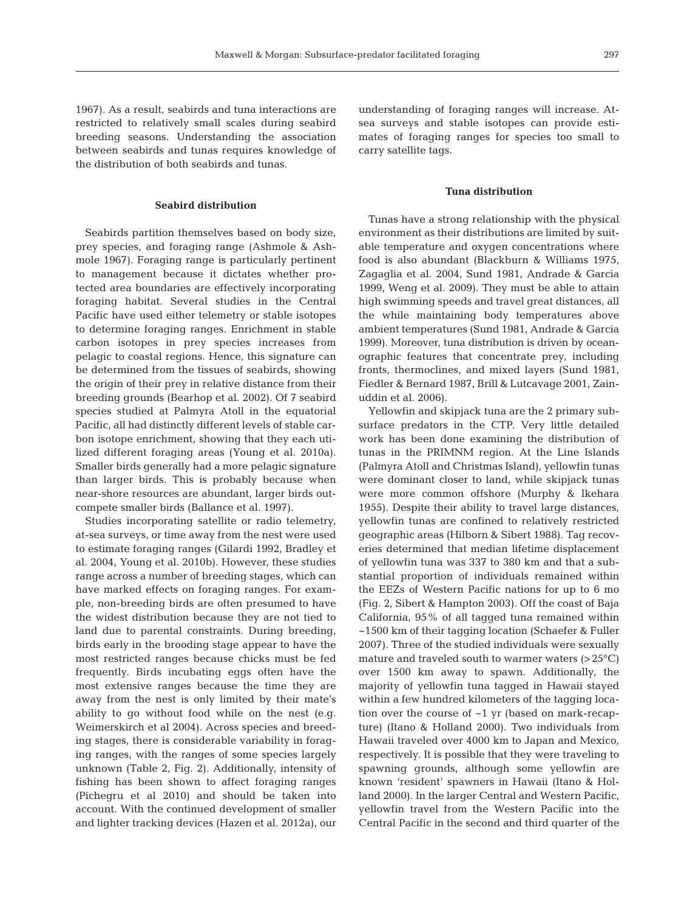1967). As a result, seabirds and tuna interactions are restricted to relatively small scales during seabird breeding seasons. Understanding the association between seabirds and tunas requires knowledge of the distribution of both seabirds and tunas.

#### **Seabird distribution**

Seabirds partition themselves based on body size, prey species, and foraging range (Ashmole & Ashmole 1967). Foraging range is particularly pertinent to management because it dictates whether protected area boundaries are effectively incorporating foraging habitat. Several studies in the Central Pacific have used either telemetry or stable isotopes to determine foraging ranges. Enrichment in stable carbon isotopes in prey species increases from pelagic to coastal regions. Hence, this signature can be determined from the tissues of seabirds, showing the origin of their prey in relative distance from their breeding grounds (Bearhop et al. 2002). Of 7 seabird species studied at Palmyra Atoll in the equatorial Pacific, all had distinctly different levels of stable carbon isotope enrichment, showing that they each utilized different foraging areas (Young et al. 2010a). Smaller birds generally had a more pelagic signature than larger birds. This is probably because when near-shore resources are abundant, larger birds outcompete smaller birds (Ballance et al. 1997).

Studies incorporating satellite or radio telemetry, at-sea surveys, or time away from the nest were used to estimate foraging ranges (Gilardi 1992, Bradley et al. 2004, Young et al. 2010b). However, these studies range across a number of breeding stages, which can have marked effects on foraging ranges. For example, non-breeding birds are often presumed to have the widest distribution because they are not tied to land due to parental constraints. During breeding, birds early in the brooding stage appear to have the most restricted ranges because chicks must be fed frequently. Birds incubating eggs often have the most extensive ranges because the time they are away from the nest is only limited by their mate's ability to go without food while on the nest (e.g. Weimerskirch et al 2004). Across species and breeding stages, there is considerable variability in foraging ranges, with the ranges of some species largely unknown (Table 2, Fig. 2). Additionally, intensity of fishing has been shown to affect foraging ranges (Pichegru et al 2010) and should be taken into account. With the continued development of smaller and lighter tracking devices (Hazen et al. 2012a), our understanding of foraging ranges will increase. Atsea surveys and stable isotopes can provide estimates of foraging ranges for species too small to carry satellite tags.

### **Tuna distribution**

Tunas have a strong relationship with the physical environment as their distributions are limited by suitable temperature and oxygen concentrations where food is also abundant (Blackburn & Williams 1975, Zagaglia et al. 2004, Sund 1981, Andrade & Garcia 1999, Weng et al. 2009). They must be able to attain high swimming speeds and travel great distances, all the while maintaining body temperatures above ambient temperatures (Sund 1981, Andrade & Garcia 1999). Moreover, tuna distribution is driven by ocean ographic features that concentrate prey, including fronts, thermoclines, and mixed layers (Sund 1981, Fiedler & Bernard 1987, Brill & Lutcavage 2001, Zainuddin et al. 2006).

Yellowfin and skipjack tuna are the 2 primary subsurface predators in the CTP. Very little detailed work has been done examining the distribution of tunas in the PRIMNM region. At the Line Islands (Palmyra Atoll and Christmas Island), yellowfin tunas were dominant closer to land, while skipjack tunas were more common offshore (Murphy & Ikehara 1955). Despite their ability to travel large distances, yellowfin tunas are confined to relatively restricted geographic areas (Hilborn & Sibert 1988). Tag recoveries determined that median lifetime displacement of yellowfin tuna was 337 to 380 km and that a substantial proportion of individuals remained within the EEZs of Western Pacific nations for up to 6 mo (Fig. 2, Sibert & Hampton 2003). Off the coast of Baja California, 95% of all tagged tuna remained within ~1500 km of their tagging location (Schaefer & Fuller 2007). Three of the studied individuals were sexually mature and traveled south to warmer waters  $(>25^{\circ}C)$ over 1500 km away to spawn. Additionally, the majority of yellowfin tuna tagged in Hawaii stayed within a few hundred kilometers of the tagging location over the course of ~1 yr (based on mark-recapture) (Itano & Holland 2000). Two individuals from Hawaii traveled over 4000 km to Japan and Mexico, respectively. It is possible that they were traveling to spawning grounds, although some yellowfin are known 'resident' spawners in Hawaii (Itano & Holland 2000). In the larger Central and Western Pacific, yellowfin travel from the Western Pacific into the Central Pacific in the second and third quarter of the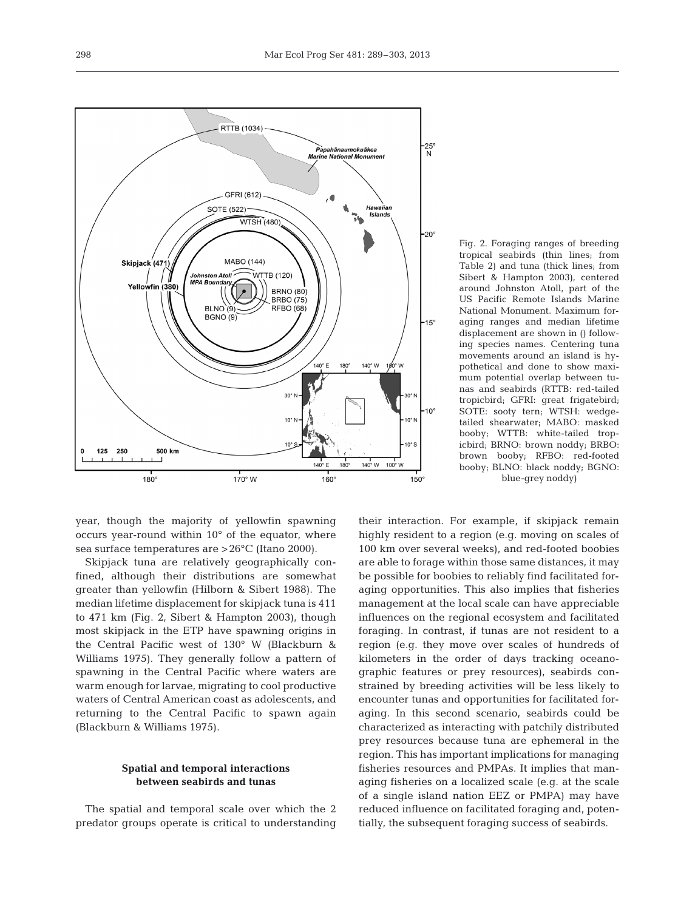298



year, though the majority of yellowfin spawning occurs year-round within 10° of the equator, where sea surface temperatures are >26°C (Itano 2000).

Skipjack tuna are relatively geographically confined, although their distributions are somewhat greater than yellowfin (Hilborn & Sibert 1988). The median lifetime displacement for skipjack tuna is 411 to 471 km (Fig. 2, Sibert & Hampton 2003), though most skipjack in the ETP have spawning origins in the Central Pacific west of 130° W (Blackburn & Williams 1975). They generally follow a pattern of spawning in the Central Pacific where waters are warm enough for larvae, migrating to cool productive waters of Central American coast as adolescents, and returning to the Central Pacific to spawn again (Blackburn & Williams 1975).

# **Spatial and temporal interactions between seabirds and tunas**

The spatial and temporal scale over which the 2 predator groups operate is critical to understanding

Fig. 2. Foraging ranges of breeding tropical seabirds (thin lines; from Table 2) and tuna (thick lines; from Sibert & Hampton 2003), centered around Johnston Atoll, part of the US Pacific Remote Islands Marine National Monument. Maximum foraging ranges and median lifetime displacement are shown in () following species names. Centering tuna movements around an island is hypothetical and done to show maximum potential overlap between tunas and seabirds (RTTB: red-tailed tropicbird; GFRI: great frigatebird; SOTE: sooty tern; WTSH: wedgetailed shearwater; MABO: masked booby; WTTB: white-tailed tropicbird; BRNO: brown noddy; BRBO: brown booby; RFBO: red-footed booby; BLNO: black noddy; BGNO: blue-grey noddy)

their interaction. For example, if skipjack remain highly resident to a region (e.g. moving on scales of 100 km over several weeks), and red-footed boobies are able to forage within those same distances, it may be possible for boobies to reliably find facilitated foraging opportunities. This also implies that fisheries management at the local scale can have appreciable influences on the regional ecosystem and facilitated foraging. In contrast, if tunas are not resident to a region (e.g. they move over scales of hundreds of kilometers in the order of days tracking oceanographic features or prey resources), seabirds constrained by breeding activities will be less likely to encounter tunas and opportunities for facilitated foraging. In this second scenario, seabirds could be characterized as interacting with patchily distributed prey resources because tuna are ephemeral in the region. This has important implications for managing fisheries resources and PMPAs. It implies that managing fisheries on a localized scale (e.g. at the scale of a single island nation EEZ or PMPA) may have reduced influence on facilitated foraging and, potentially, the subsequent foraging success of seabirds.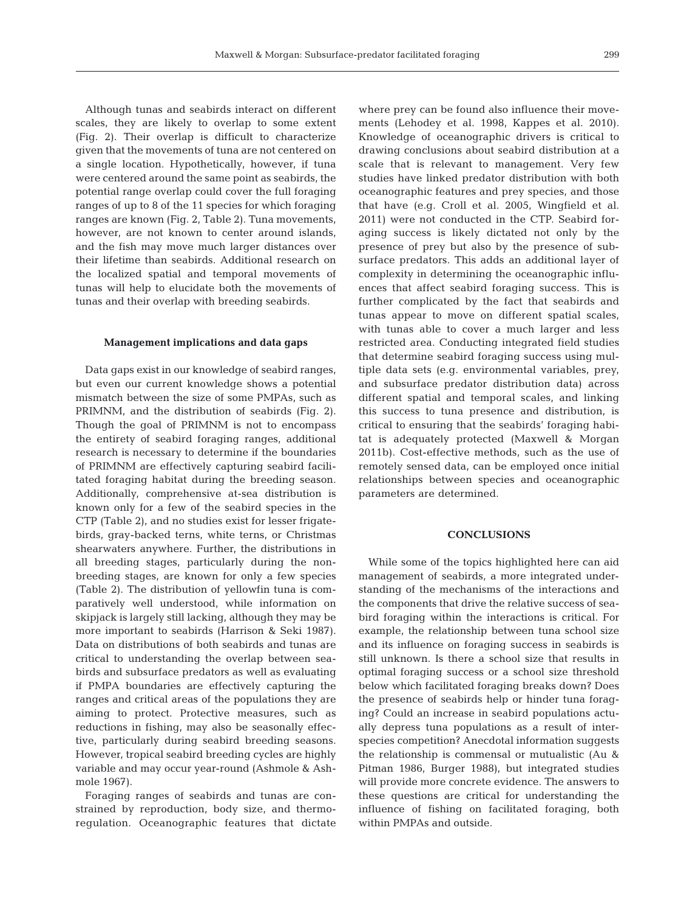Although tunas and seabirds interact on different scales, they are likely to overlap to some extent (Fig. 2). Their overlap is difficult to characterize given that the movements of tuna are not centered on a single location. Hypothetically, however, if tuna were centered around the same point as seabirds, the potential range overlap could cover the full foraging ranges of up to 8 of the 11 species for which foraging ranges are known (Fig. 2, Table 2). Tuna movements, however, are not known to center around islands, and the fish may move much larger distances over their lifetime than seabirds. Additional research on the localized spatial and temporal movements of tunas will help to elucidate both the movements of tunas and their overlap with breeding seabirds.

#### **Management implications and data gaps**

Data gaps exist in our knowledge of seabird ranges, but even our current knowledge shows a potential mismatch between the size of some PMPAs, such as PRIMNM, and the distribution of seabirds (Fig. 2). Though the goal of PRIMNM is not to encompass the entirety of seabird foraging ranges, additional research is necessary to determine if the boundaries of PRIMNM are effectively capturing seabird facilitated foraging habitat during the breeding season. Additionally, comprehensive at-sea distribution is known only for a few of the seabird species in the CTP (Table 2), and no studies exist for lesser frigatebirds, gray-backed terns, white terns, or Christmas shearwaters anywhere. Further, the distributions in all breeding stages, particularly during the nonbreeding stages, are known for only a few species (Table 2). The distribution of yellowfin tuna is comparatively well understood, while information on skipjack is largely still lacking, although they may be more important to seabirds (Harrison & Seki 1987). Data on distributions of both seabirds and tunas are critical to understanding the overlap between seabirds and subsurface predators as well as evaluating if PMPA boundaries are effectively capturing the ranges and critical areas of the populations they are aiming to protect. Protective measures, such as reductions in fishing, may also be seasonally effective, particularly during seabird breeding seasons. However, tropical seabird breeding cycles are highly variable and may occur year-round (Ashmole & Ashmole 1967).

Foraging ranges of seabirds and tunas are constrained by reproduction, body size, and thermoregulation. Oceanographic features that dictate where prey can be found also influence their movements (Lehodey et al. 1998, Kappes et al. 2010). Knowledge of oceanographic drivers is critical to drawing conclusions about seabird distribution at a scale that is relevant to management. Very few studies have linked predator distribution with both oceanographic features and prey species, and those that have (e.g. Croll et al. 2005, Wingfield et al. 2011) were not conducted in the CTP. Seabird foraging success is likely dictated not only by the presence of prey but also by the presence of subsurface predators. This adds an additional layer of complexity in determining the oceanographic influences that affect seabird foraging success. This is further complicated by the fact that seabirds and tunas appear to move on different spatial scales, with tunas able to cover a much larger and less restricted area. Conducting integrated field studies that determine seabird foraging success using multiple data sets (e.g. environmental variables, prey, and subsurface predator distribution data) across different spatial and temporal scales, and linking this success to tuna presence and distribution, is critical to ensuring that the seabirds' foraging habitat is adequately protected (Maxwell & Morgan 2011b). Cost-effective methods, such as the use of remotely sensed data, can be employed once initial relationships between species and oceanographic parameters are determined.

### **CONCLUSIONS**

While some of the topics highlighted here can aid management of seabirds, a more integrated understanding of the mechanisms of the interactions and the components that drive the relative success of seabird foraging within the interactions is critical. For example, the relationship between tuna school size and its influence on foraging success in seabirds is still unknown. Is there a school size that results in optimal foraging success or a school size threshold below which facilitated foraging breaks down? Does the presence of seabirds help or hinder tuna foraging? Could an increase in seabird populations actually depress tuna populations as a result of interspecies competition? Anecdotal information suggests the relationship is commensal or mutualistic (Au & Pitman 1986, Burger 1988), but integrated studies will provide more concrete evidence. The answers to these questions are critical for understanding the influence of fishing on facilitated foraging, both within PMPAs and outside.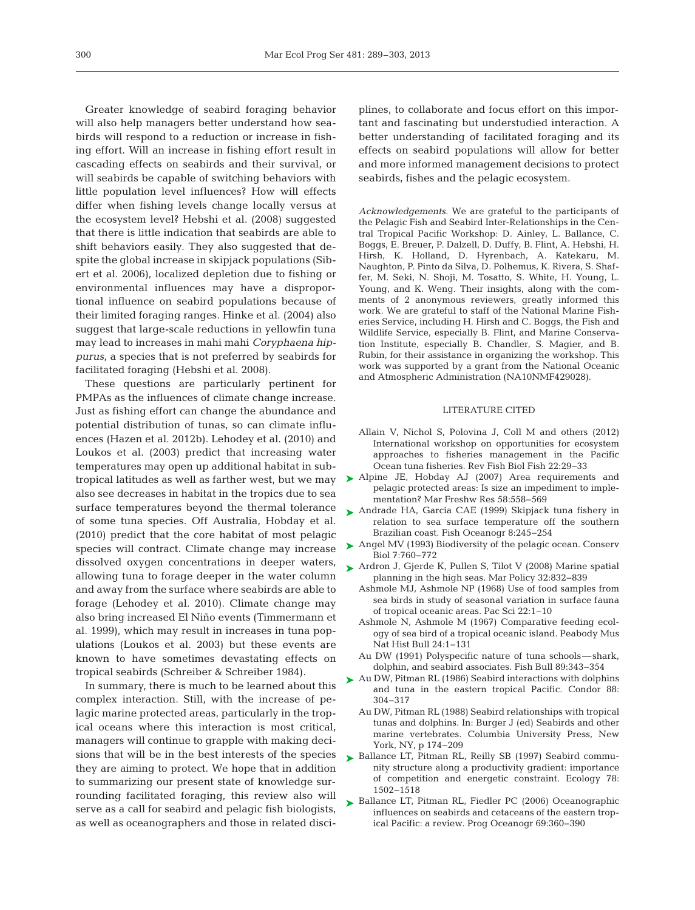Greater knowledge of seabird foraging behavior will also help managers better understand how seabirds will respond to a reduction or increase in fishing effort. Will an increase in fishing effort result in cascading effects on seabirds and their survival, or will seabirds be capable of switching behaviors with little population level influences? How will effects differ when fishing levels change locally versus at the ecosystem level? Hebshi et al. (2008) suggested that there is little indication that seabirds are able to shift behaviors easily. They also suggested that despite the global increase in skipjack populations (Sibert et al. 2006), localized depletion due to fishing or environmental influences may have a disproportional influence on seabird populations because of their limited foraging ranges. Hinke et al. (2004) also suggest that large-scale reductions in yellowfin tuna may lead to increases in mahi mahi *Coryphaena hippurus*, a species that is not preferred by seabirds for facilitated foraging (Hebshi et al. 2008).

These questions are particularly pertinent for PMPAs as the influences of climate change increase. Just as fishing effort can change the abundance and potential distribution of tunas, so can climate influences (Hazen et al. 2012b). Lehodey et al. (2010) and Loukos et al. (2003) predict that increasing water temperatures may open up additional habitat in subtropical latitudes as well as farther west, but we may also see decreases in habitat in the tropics due to sea surface temperatures beyond the thermal tolerance of some tuna species. Off Australia, Hobday et al. (2010) predict that the core habitat of most pelagic species will contract. Climate change may increase dissolved oxygen concentrations in deeper waters, allowing tuna to forage deeper in the water column and away from the surface where seabirds are able to forage (Lehodey et al. 2010). Climate change may also bring increased El Niño events (Timmermann et al. 1999), which may result in increases in tuna populations (Loukos et al. 2003) but these events are known to have sometimes devastating effects on tropical seabirds (Schreiber & Schreiber 1984).

In summary, there is much to be learned about this complex interaction. Still, with the increase of pe lagic marine protected areas, particularly in the tropical oceans where this interaction is most critical, managers will continue to grapple with making decisions that will be in the best interests of the species they are aiming to protect. We hope that in addition to summarizing our present state of knowledge surrounding facilitated foraging, this review also will serve as a call for seabird and pelagic fish biologists, as well as oceanographers and those in related disciplines, to collaborate and focus effort on this important and fascinating but understudied interaction. A better understanding of facilitated foraging and its effects on seabird populations will allow for better and more informed management decisions to protect seabirds, fishes and the pelagic ecosystem.

*Acknowledgements.* We are grateful to the participants of the Pelagic Fish and Seabird Inter-Relationships in the Central Tropical Pacific Workshop: D. Ainley, L. Ballance, C. Boggs, E. Breuer, P. Dalzell, D. Duffy, B. Flint, A. Hebshi, H. Hirsh, K. Holland, D. Hyrenbach, A. Katekaru, M. Naughton, P. Pinto da Silva, D. Polhemus, K. Rivera, S. Shaffer, M. Seki, N. Shoji, M. Tosatto, S. White, H. Young, L. Young, and K. Weng. Their insights, along with the comments of 2 anonymous reviewers, greatly informed this work. We are grateful to staff of the National Marine Fisheries Service, including H. Hirsh and C. Boggs, the Fish and Wildlife Service, especially B. Flint, and Marine Conservation Institute, especially B. Chandler, S. Magier, and B. Rubin, for their assistance in organizing the workshop. This work was supported by a grant from the National Oceanic and Atmospheric Administration (NA10NMF429028).

#### LITERATURE CITED

- Allain V, Nichol S, Polovina J, Coll M and others (2012) International workshop on opportunities for ecosystem approaches to fisheries management in the Pacific Ocean tuna fisheries. Rev Fish Biol Fish 22: 29−33
- ▶ Alpine JE, Hobday AJ (2007) Area requirements and pelagic protected areas: Is size an impediment to implementation? Mar Freshw Res 58:558-569
- ▶ Andrade HA, Garcia CAE (1999) Skipjack tuna fishery in relation to sea surface temperature off the southern Brazilian coast. Fish Oceanogr 8: 245−254
- ► Angel MV (1993) Biodiversity of the pelagic ocean. Conserv Biol 7:760−772
- ▶ Ardron J, Gjerde K, Pullen S, Tilot V (2008) Marine spatial planning in the high seas. Mar Policy 32: 832−839
	- Ashmole MJ, Ashmole NP (1968) Use of food samples from sea birds in study of seasonal variation in surface fauna of tropical oceanic areas. Pac Sci 22: 1–10
	- Ashmole N, Ashmole M (1967) Comparative feeding ecology of sea bird of a tropical oceanic island. Peabody Mus Nat Hist Bull 24:1-131
	- Au DW (1991) Polyspecific nature of tuna schools—shark, dolphin, and seabird associates. Fish Bull 89:343-354
- ► Au DW, Pitman RL (1986) Seabird interactions with dolphins and tuna in the eastern tropical Pacific. Condor 88: 304−317
	- Au DW, Pitman RL (1988) Seabird relationships with tropical tunas and dolphins. In: Burger J (ed) Seabirds and other marine vertebrates. Columbia University Press, New York, NY, p 174−209
- ▶ Ballance LT, Pitman RL, Reilly SB (1997) Seabird community structure along a productivity gradient: importance of competition and energetic constraint. Ecology 78: 1502−1518
- ► Ballance LT, Pitman RL, Fiedler PC (2006) Oceanographic influences on seabirds and cetaceans of the eastern tropical Pacific: a review. Prog Oceanogr 69:360-390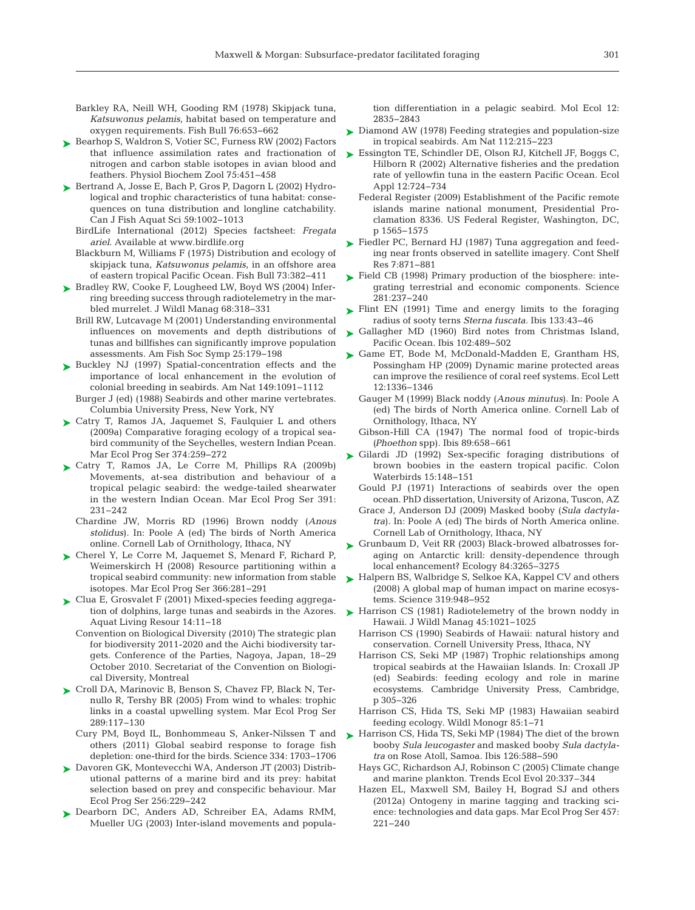- Barkley RA, Neill WH, Gooding RM (1978) Skipjack tuna, *Katsuwonus pelamis*, habitat based on temperature and oxygen requirements. Fish Bull 76:653-662
- ► Bearhop S, Waldron S, Votier SC, Furness RW (2002) Factors that influence assimilation rates and fractionation of nitrogen and carbon stable isotopes in avian blood and feathers. Physiol Biochem Zool 75: 451−458
- ▶ Bertrand A, Josse E, Bach P, Gros P, Dagorn L (2002) Hydrological and trophic characteristics of tuna habitat: consequences on tuna distribution and longline catchability. Can J Fish Aquat Sci 59: 1002−1013
	- BirdLife International (2012) Species factsheet: *Fregata ariel*. Available at www.birdlife.org
	- Blackburn M, Williams F (1975) Distribution and ecology of skipjack tuna, *Katsuwonus pelamis*, in an offshore area of eastern tropical Pacific Ocean. Fish Bull 73: 382−411
- ► Bradley RW, Cooke F, Lougheed LW, Boyd WS (2004) Inferring breeding success through radiotelemetry in the marbled murrelet. J Wildl Manag 68: 318−331
	- Brill RW, Lutcavage M (2001) Understanding environmental influences on movements and depth distributions of tunas and billfishes can significantly improve population assessments. Am Fish Soc Symp 25: 179−198
- ▶ Buckley NJ (1997) Spatial-concentration effects and the importance of local enhancement in the evolution of colonial breeding in seabirds. Am Nat 149: 1091−1112
	- Burger J (ed) (1988) Seabirds and other marine vertebrates. Columbia University Press, New York, NY
- ► Catry T, Ramos JA, Jaquemet S, Faulquier L and others (2009a) Comparative foraging ecology of a tropical seabird community of the Seychelles, western Indian Pcean. Mar Ecol Prog Ser 374:259–272
- ► Catry T, Ramos JA, Le Corre M, Phillips RA (2009b) Movements, at-sea distribution and behaviour of a tropical pelagic seabird: the wedge-tailed shearwater in the western Indian Ocean. Mar Ecol Prog Ser 391: 231−242
	- Chardine JW, Morris RD (1996) Brown noddy (*Anous* stolidus). In: Poole A (ed) The birds of North America online. Cornell Lab of Ornithology, Ithaca, NY
- ▶ Cherel Y, Le Corre M, Jaquemet S, Menard F, Richard P, Weimerskirch H (2008) Resource partitioning within a tropical seabird community: new information from stable isotopes. Mar Ecol Prog Ser 366: 281−291
- ► Clua E, Grosvalet F (2001) Mixed-species feeding aggregation of dolphins, large tunas and seabirds in the Azores. Aquat Living Resour 14: 11−18
	- Convention on Biological Diversity (2010) The strategic plan for biodiversity 2011-2020 and the Aichi biodiversity targets. Conference of the Parties, Nagoya, Japan, 18−29 October 2010. Secretariat of the Convention on Biological Diversity, Montreal
- ► Croll DA, Marinovic B, Benson S, Chavez FP, Black N, Ternullo R, Tershy BR (2005) From wind to whales: trophic links in a coastal upwelling system. Mar Ecol Prog Ser 289: 117−130
	- Cury PM, Boyd IL, Bonhommeau S, Anker-Nilssen T and others (2011) Global seabird response to forage fish depletion:one-third for the birds. Science 334:1703−1706
- ► Davoren GK, Montevecchi WA, Anderson JT (2003) Distributional patterns of a marine bird and its prey: habitat selection based on prey and conspecific behaviour. Mar Ecol Prog Ser 256: 229−242
- ▶ Dearborn DC, Anders AD, Schreiber EA, Adams RMM, Mueller UG (2003) Inter-island movements and popula-

tion differentiation in a pelagic seabird. Mol Ecol 12: 2835−2843

- ► Diamond AW (1978) Feeding strategies and population-size in tropical seabirds. Am Nat 112: 215−223
- ► Essington TE, Schindler DE, Olson RJ, Kitchell JF, Boggs C, Hilborn R (2002) Alternative fisheries and the predation rate of yellowfin tuna in the eastern Pacific Ocean. Ecol Appl 12:724-734
	- Federal Register (2009) Establishment of the Pacific remote islands marine national monument, Presidential Proclamation 8336. US Federal Register, Washington, DC, p 1565−1575
- ► Fiedler PC, Bernard HJ (1987) Tuna aggregation and feeding near fronts observed in satellite imagery. Cont Shelf Res 7: 871−881
- $\blacktriangleright$  Field CB (1998) Primary production of the biosphere: integrating terrestrial and economic components. Science 281: 237–240
- ► Flint EN (1991) Time and energy limits to the foraging radius of sooty terns *Sterna fuscata*. Ibis 133:43-46
- ► Gallagher MD (1960) Bird notes from Christmas Island, Pacific Ocean. Ibis 102:489-502
- ▶ Game ET, Bode M, McDonald-Madden E, Grantham HS, Possingham HP (2009) Dynamic marine protected areas can improve the resilience of coral reef systems. Ecol Lett 12: 1336−1346
	- Gauger M (1999) Black noddy (*Anous minutus*). In:Poole A (ed) The birds of North America online. Cornell Lab of Ornithology, Ithaca, NY
	- Gibson-Hill CA (1947) The normal food of tropic-birds *(Phoethon* spp). Ibis 89:658–661
- ▶ Gilardi JD (1992) Sex-specific foraging distributions of brown boobies in the eastern tropical pacific. Colon Waterbirds 15: 148−151
	- Gould PJ (1971) Interactions of seabirds over the open ocean. PhD dissertation, University of Arizona, Tuscon, AZ
	- Grace J, Anderson DJ (2009) Masked booby (*Sula dactyla*tra). In: Poole A (ed) The birds of North America online. Cornell Lab of Ornithology, Ithaca, NY
- ► Grunbaum D, Veit RR (2003) Black-browed albatrosses foraging on Antarctic krill: density-dependence through local enhancement? Ecology 84:3265-3275
- ► Halpern BS, Walbridge S, Selkoe KA, Kappel CV and others (2008) A global map of human impact on marine ecosystems. Science 319: 948−952
- ► Harrison CS (1981) Radiotelemetry of the brown noddy in Hawaii. J Wildl Manag 45: 1021−1025
	- Harrison CS (1990) Seabirds of Hawaii: natural history and conservation. Cornell University Press, Ithaca, NY
	- Harrison CS, Seki MP (1987) Trophic relationships among tropical seabirds at the Hawaiian Islands. In:Croxall JP (ed) Seabirds: feeding ecology and role in marine ecosystems. Cambridge University Press, Cambridge, p 305−326
	- Harrison CS, Hida TS, Seki MP (1983) Hawaiian seabird feeding ecology. Wildl Monogr 85: 1−71
- ► Harrison CS, Hida TS, Seki MP (1984) The diet of the brown booby *Sula leucogaster* and masked booby *Sula dactylatra* on Rose Atoll, Samoa. Ibis 126:588-590
	- Hays GC, Richardson AJ, Robinson C (2005) Climate change and marine plankton. Trends Ecol Evol 20:337-344
	- Hazen EL, Maxwell SM, Bailey H, Bograd SJ and others (2012a) Ontogeny in marine tagging and tracking science: technologies and data gaps. Mar Ecol Prog Ser 457: 221-240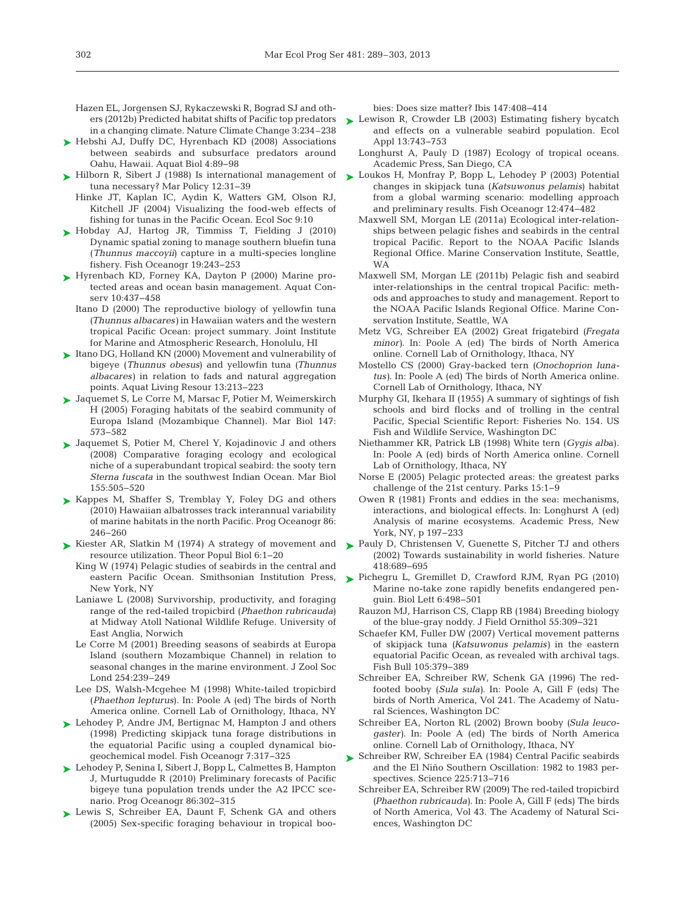Hazen EL, Jorgensen SJ, Rykaczewski R, Bograd SJ and othin a changing climate. Nature Climate Change 3:234–238

- ▶ Hebshi AJ, Duffy DC, Hyrenbach KD (2008) Associations between seabirds and subsurface predators around Oahu, Hawaii. Aquat Biol 4: 89−98
- ► Hilborn R, Sibert J (1988) Is international management of tuna necessary? Mar Policy 12:31-39
	- Hinke JT, Kaplan IC, Aydin K, Watters GM, Olson RJ, Kitchell JF (2004) Visualizing the food-web effects of fishing for tunas in the Pacific Ocean. Ecol Soc 9:10
- ► Hobday AJ, Hartog JR, Timmiss T, Fielding J (2010) Dynamic spatial zoning to manage southern bluefin tuna (*Thunnus maccoyii*) capture in a multi-species longline fishery. Fish Oceanogr 19: 243−253
- ► Hyrenbach KD, Forney KA, Dayton P (2000) Marine protected areas and ocean basin management. Aquat Conserv 10:437–458
	- Itano D (2000) The reproductive biology of yellowfin tuna *(Thunnus albacares)* in Hawaiian waters and the western tropical Pacific Ocean: project summary. Joint Institute for Marine and Atmospheric Research, Honolulu, HI
- ► Itano DG, Holland KN (2000) Movement and vulnerability of bigeye (*Thunnus obesus*) and yellowfin tuna *(Thunnus albacares)* in relation to fads and natural aggregation points. Aquat Living Resour 13:213-223
- Jaquemet S, Le Corre M, Marsac F, Potier M, Weimerskirch ➤ H (2005) Foraging habitats of the seabird community of Europa Island (Mozambique Channel). Mar Biol 147: 573−582
- ► Jaquemet S, Potier M, Cherel Y, Kojadinovic J and others (2008) Comparative foraging ecology and ecological niche of a superabundant tropical seabird: the sooty tern *Sterna fuscata* in the southwest Indian Ocean. Mar Biol 155: 505−520
- ► Kappes M, Shaffer S, Tremblay Y, Foley DG and others (2010) Hawaiian albatrosses track interannual variability of marine habitats in the north Pacific. Prog Oceanogr 86: 246−260
- ► Kiester AR, Slatkin M (1974) A strategy of movement and ► Pauly D, Christensen V, Guenette S, Pitcher TJ and others resource utilization. Theor Popul Biol 6: 1−20
	- King W (1974) Pelagic studies of seabirds in the central and eastern Pacific Ocean. Smithsonian Institution Press, New York, NY
	- Laniawe L (2008) Survivorship, productivity, and foraging range of the red-tailed tropicbird (*Phaethon rubricauda*) at Midway Atoll National Wildlife Refuge. University of East Anglia, Norwich
	- Le Corre M (2001) Breeding seasons of seabirds at Europa Island (southern Mozambique Channel) in relation to seasonal changes in the marine environment. J Zool Soc Lond 254:239–249
	- Lee DS, Walsh-Mcgehee M (1998) White-tailed tropicbird (*Phaethon lepturus*). In:Poole A (ed) The birds of North America online. Cornell Lab of Ornithology, Ithaca, NY
- ► Lehodey P, Andre JM, Bertignac M, Hampton J and others (1998) Predicting skipjack tuna forage distributions in the equatorial Pacific using a coupled dynamical biogeochemical model. Fish Oceanogr 7: 317−325
- Lehodey P, Senina I, Sibert J, Bopp L, Calmettes B, Hampton ➤ J, Murtugudde R (2010) Preliminary forecasts of Pacific bigeye tuna population trends under the A2 IPCC scenario. Prog Oceanogr 86:302-315
- ► Lewis S, Schreiber EA, Daunt F, Schenk GA and others (2005) Sex-specific foraging behaviour in tropical boo-

bies: Does size matter? Ibis 147:408-414

- ers (2012b) Predicted habitat shifts of Pacific top predators Lewison R, Crowder LB (2003) Estimating fishery bycatch and effects on a vulnerable seabird population. Ecol Appl 13:743-753
	- Longhurst A, Pauly D (1987) Ecology of tropical oceans. Academic Press, San Diego, CA
	- ► Loukos H, Monfray P, Bopp L, Lehodey P (2003) Potential changes in skipjack tuna (*Katsuwonus pelamis*) habitat from a global warming scenario: modelling approach and preliminary results. Fish Oceanogr 12:474-482
		- Maxwell SM, Morgan LE (2011a) Ecological inter-relationships between pelagic fishes and seabirds in the central tropical Pacific. Report to the NOAA Pacific Islands Regional Office. Marine Conservation Institute, Seattle, WA
		- Maxwell SM, Morgan LE (2011b) Pelagic fish and seabird inter-relationships in the central tropical Pacific: methods and approaches to study and management. Report to the NOAA Pacific Islands Regional Office. Marine Conservation Institute, Seattle, WA
		- Metz VG, Schreiber EA (2002) Great frigatebird *(Fregata minor*). In: Poole A (ed) The birds of North America online. Cornell Lab of Ornithology, Ithaca, NY
		- Mostello CS (2000) Gray-backed tern *(Onochoprion luna*tus). In: Poole A (ed) The birds of North America online. Cornell Lab of Ornithology, Ithaca, NY
		- Murphy GI, Ikehara II (1955) A summary of sightings of fish schools and bird flocks and of trolling in the central Pacific, Special Scientific Report: Fisheries No. 154. US Fish and Wildlife Service, Washington DC
		- Niethammer KR, Patrick LB (1998) White tern (*Gygis alb*a). In: Poole A (ed) birds of North America online. Cornell Lab of Ornithology, Ithaca, NY
		- Norse E (2005) Pelagic protected areas: the greatest parks challenge of the 21st century. Parks 15: 1−9
		- Owen R (1981) Fronts and eddies in the sea: mechanisms, interactions, and biological effects. In:Longhurst A (ed) Analysis of marine ecosystems. Academic Press, New York, NY, p 197−233
		- (2002) Towards sustainability in world fisheries. Nature 418: 689−695
	- Pichegru L, Gremillet D, Crawford RJM, Ryan PG (2010) ➤ Marine no-take zone rapidly benefits endangered penguin. Biol Lett 6: 498−501
		- Rauzon MJ, Harrison CS, Clapp RB (1984) Breeding biology of the blue-gray noddy. J Field Ornithol 55: 309−321
		- Schaefer KM, Fuller DW (2007) Vertical movement patterns of skipjack tuna *(Katsuwonus pelamis)* in the eastern equatorial Pacific Ocean, as revealed with archival tags. Fish Bull 105: 379−389
		- Schreiber EA, Schreiber RW, Schenk GA (1996) The redfooted booby (*Sula sula)*. In: Poole A, Gill F (eds) The birds of North America, Vol 241. The Academy of Natural Sciences, Washington DC
		- Schreiber EA, Norton RL (2002) Brown booby *(Sula leucogaster*). In: Poole A (ed) The birds of North America online. Cornell Lab of Ornithology, Ithaca, NY
	- ► Schreiber RW, Schreiber EA (1984) Central Pacific seabirds and the El Niño Southern Oscillation:1982 to 1983 perspectives. Science 225:713-716
		- Schreiber EA, Schreiber RW (2009) The red-tailed tropicbird *(Phaethon rubricauda)*. In: Poole A, Gill F (eds) The birds of North America, Vol 43. The Academy of Natural Sciences, Washington DC